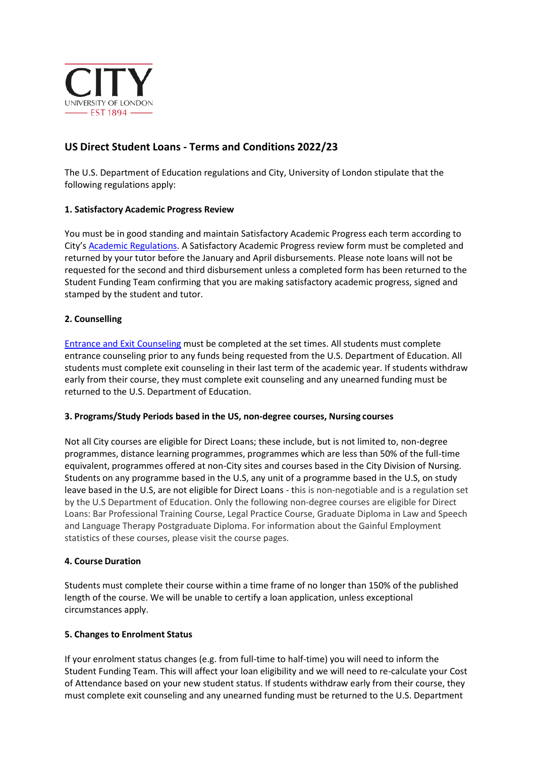

# **US Direct Student Loans - Terms and Conditions 2022/23**

The U.S. Department of Education regulations and City, University of London stipulate that the following regulations apply:

# **1. Satisfactory Academic Progress Review**

You must be in good standing and maintain Satisfactory Academic Progress each term according to City's [Academic Regulations. A](http://www.city.ac.uk/about/education/academic-services/academic-policies-and-regulation) Satisfactory Academic Progress review form must be completed and returned by your tutor before the January and April disbursements. Please note loans will not be requested for the second and third disbursement unless a completed form has been returned to the Student Funding Team confirming that you are making satisfactory academic progress, signed and stamped by the student and tutor.

# **2. Counselling**

[Entrance and Exit Counseling](https://studentloans.gov/myDirectLoan/index.action) must be completed at the set times. All students must complete entrance counseling prior to any funds being requested from the U.S. Department of Education. All students must complete exit counseling in their last term of the academic year. If students withdraw early from their course, they must complete exit counseling and any unearned funding must be returned to the U.S. Department of Education.

### **3. Programs/Study Periods based in the US, non-degree courses, Nursing courses**

Not all City courses are eligible for Direct Loans; these include, but is not limited to, non-degree programmes, distance learning programmes, programmes which are less than 50% of the full-time equivalent, programmes offered at non-City sites and courses based in the City Division of Nursing. Students on any programme based in the U.S, any unit of a programme based in the U.S, on study leave based in the U.S, are not eligible for Direct Loans - this is non-negotiable and is a regulation set by the U.S Department of Education. Only the following non-degree courses are eligible for Direct Loans: Bar Professional Training Course, Legal Practice Course, Graduate Diploma in Law and Speech and Language Therapy Postgraduate Diploma. For information about the Gainful Employment statistics of these courses, please visit the course pages.

### **4. Course Duration**

Students must complete their course within a time frame of no longer than 150% of the published length of the course. We will be unable to certify a loan application, unless exceptional circumstances apply.

### **5. Changes to Enrolment Status**

If your enrolment status changes (e.g. from full-time to half-time) you will need to inform the Student Funding Team. This will affect your loan eligibility and we will need to re-calculate your Cost of Attendance based on your new student status. If students withdraw early from their course, they must complete exit counseling and any unearned funding must be returned to the U.S. Department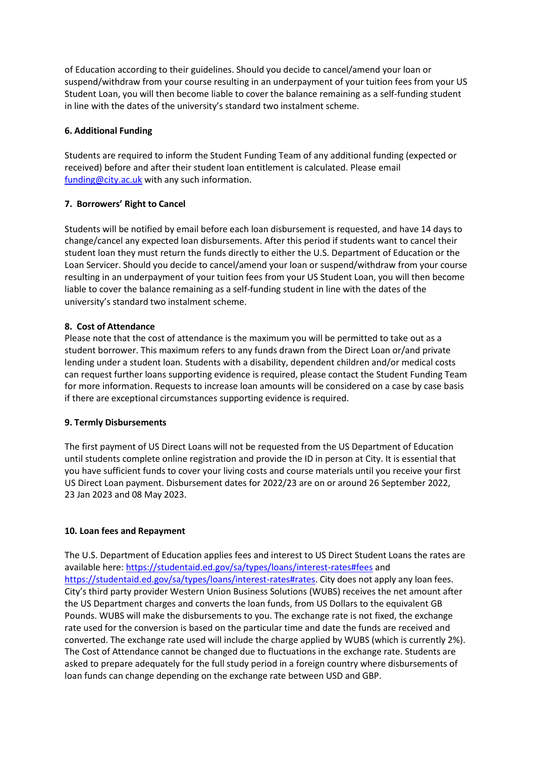of Education according to their guidelines. Should you decide to cancel/amend your loan or suspend/withdraw from your course resulting in an underpayment of your tuition fees from your US Student Loan, you will then become liable to cover the balance remaining as a self-funding student in line with the dates of the university's standard two instalment scheme.

# **6. Additional Funding**

Students are required to inform the Student Funding Team of any additional funding (expected or received) before and after their student loan entitlement is calculated. Please email [funding@city.ac.uk](mailto:funding@city.ac.uk) with any such information.

# **7. Borrowers' Right to Cancel**

Students will be notified by email before each loan disbursement is requested, and have 14 days to change/cancel any expected loan disbursements. After this period if students want to cancel their student loan they must return the funds directly to either the U.S. Department of Education or the Loan Servicer. Should you decide to cancel/amend your loan or suspend/withdraw from your course resulting in an underpayment of your tuition fees from your US Student Loan, you will then become liable to cover the balance remaining as a self-funding student in line with the dates of the university's standard two instalment scheme.

# **8. Cost of Attendance**

Please note that the cost of attendance is the maximum you will be permitted to take out as a student borrower. This maximum refers to any funds drawn from the Direct Loan or/and private lending under a student loan. Students with a disability, dependent children and/or medical costs can request further loans supporting evidence is required, please contact the Student Funding Team for more information. Requests to increase loan amounts will be considered on a case by case basis if there are exceptional circumstances supporting evidence is required.

### **9. Termly Disbursements**

The first payment of US Direct Loans will not be requested from the US Department of Education until students complete online registration and provide the ID in person at City. It is essential that you have sufficient funds to cover your living costs and course materials until you receive your first US Direct Loan payment. Disbursement dates for 2022/23 are on or around 26 September 2022, 23 Jan 2023 and 08 May 2023.

### **10. Loan fees and Repayment**

The U.S. Department of Education applies fees and interest to US Direct Student Loans the rates are available here:<https://studentaid.ed.gov/sa/types/loans/interest-rates#fees> and [https://studentaid.ed.gov/sa/types/loans/interest-rates#rates.](https://studentaid.ed.gov/sa/types/loans/interest-rates#rates) City does not apply any loan fees. City's third party provider Western Union Business Solutions (WUBS) receives the net amount after the US Department charges and converts the loan funds, from US Dollars to the equivalent GB Pounds. WUBS will make the disbursements to you. The exchange rate is not fixed, the exchange rate used for the conversion is based on the particular time and date the funds are received and converted. The exchange rate used will include the charge applied by WUBS (which is currently 2%). The Cost of Attendance cannot be changed due to fluctuations in the exchange rate. Students are asked to prepare adequately for the full study period in a foreign country where disbursements of loan funds can change depending on the exchange rate between USD and GBP.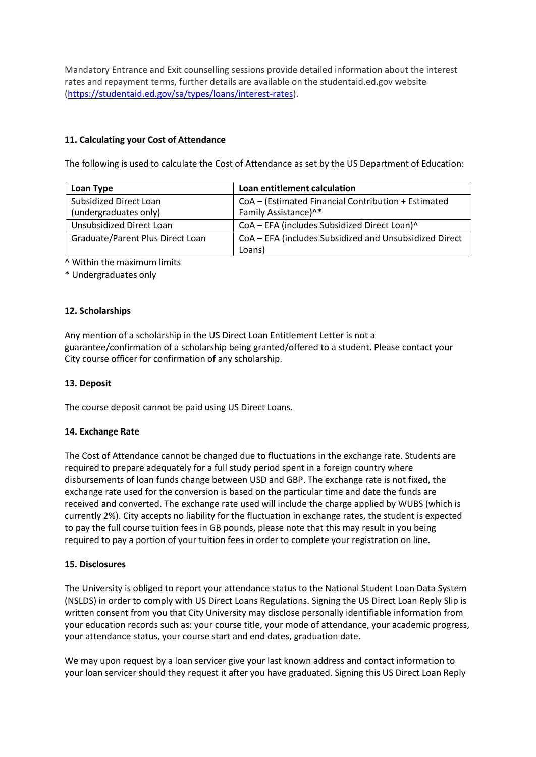Mandatory Entrance and Exit counselling sessions provide detailed information about the interest rates and repayment terms, further details are available on the studentaid.ed.gov website [\(https://studentaid.ed.gov/sa/types/loans/interest-rates\)](https://studentaid.ed.gov/sa/types/loans/interest-rates).

# **11. Calculating your Cost of Attendance**

The following is used to calculate the Cost of Attendance as set by the US Department of Education:

| Loan Type                        | Loan entitlement calculation                           |
|----------------------------------|--------------------------------------------------------|
| Subsidized Direct Loan           | CoA - (Estimated Financial Contribution + Estimated    |
| (undergraduates only)            | Family Assistance) <sup>^*</sup>                       |
| <b>Unsubsidized Direct Loan</b>  | CoA - EFA (includes Subsidized Direct Loan)^           |
| Graduate/Parent Plus Direct Loan | CoA - EFA (includes Subsidized and Unsubsidized Direct |
|                                  | Loans)                                                 |

^ Within the maximum limits

\* Undergraduates only

# **12. Scholarships**

Any mention of a scholarship in the US Direct Loan Entitlement Letter is not a guarantee/confirmation of a scholarship being granted/offered to a student. Please contact your City course officer for confirmation of any scholarship.

### **13. Deposit**

The course deposit cannot be paid using US Direct Loans.

### **14. Exchange Rate**

The Cost of Attendance cannot be changed due to fluctuations in the exchange rate. Students are required to prepare adequately for a full study period spent in a foreign country where disbursements of loan funds change between USD and GBP. The exchange rate is not fixed, the exchange rate used for the conversion is based on the particular time and date the funds are received and converted. The exchange rate used will include the charge applied by WUBS (which is currently 2%). City accepts no liability for the fluctuation in exchange rates, the student is expected to pay the full course tuition fees in GB pounds, please note that this may result in you being required to pay a portion of your tuition fees in order to complete your registration on line.

### **15. Disclosures**

The University is obliged to report your attendance status to the National Student Loan Data System (NSLDS) in order to comply with US Direct Loans Regulations. Signing the US Direct Loan Reply Slip is written consent from you that City University may disclose personally identifiable information from your education records such as: your course title, your mode of attendance, your academic progress, your attendance status, your course start and end dates, graduation date.

We may upon request by a loan servicer give your last known address and contact information to your loan servicer should they request it after you have graduated. Signing this US Direct Loan Reply